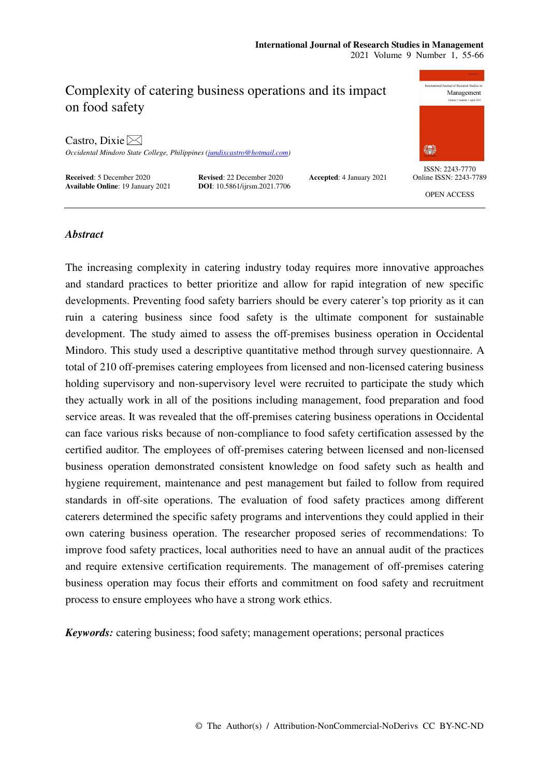# Complexity of catering business operations and its impact on food safety

Castro, Dixie  $\bowtie$ 

*Occidental Mindoro State College, Philippines (jundixcastro@hotmail.com)* 

**Received:** 5 December 2020 **Revised**: 22 December 2020 **Accepted:** 4 January 2021 **Available Online:** 19 January 2021 **DOI:** 10.5861/ijrsm.2021.7706 **Available Online**: 19 January 2021



ISSN: 2243-7770 Online ISSN: 2243-7789

OPEN ACCESS

# *Abstract*

The increasing complexity in catering industry today requires more innovative approaches and standard practices to better prioritize and allow for rapid integration of new specific developments. Preventing food safety barriers should be every caterer's top priority as it can ruin a catering business since food safety is the ultimate component for sustainable development. The study aimed to assess the off-premises business operation in Occidental Mindoro. This study used a descriptive quantitative method through survey questionnaire. A total of 210 off-premises catering employees from licensed and non-licensed catering business holding supervisory and non-supervisory level were recruited to participate the study which they actually work in all of the positions including management, food preparation and food service areas. It was revealed that the off-premises catering business operations in Occidental can face various risks because of non-compliance to food safety certification assessed by the certified auditor. The employees of off-premises catering between licensed and non-licensed business operation demonstrated consistent knowledge on food safety such as health and hygiene requirement, maintenance and pest management but failed to follow from required standards in off-site operations. The evaluation of food safety practices among different caterers determined the specific safety programs and interventions they could applied in their own catering business operation. The researcher proposed series of recommendations: To improve food safety practices, local authorities need to have an annual audit of the practices and require extensive certification requirements. The management of off-premises catering business operation may focus their efforts and commitment on food safety and recruitment process to ensure employees who have a strong work ethics.

*Keywords:* catering business; food safety; management operations; personal practices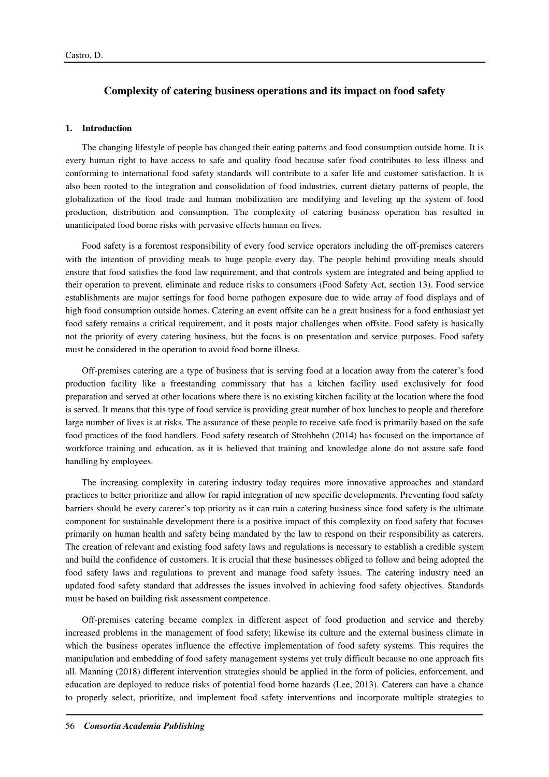# **Complexity of catering business operations and its impact on food safety**

# **1. Introduction**

The changing lifestyle of people has changed their eating patterns and food consumption outside home. It is every human right to have access to safe and quality food because safer food contributes to less illness and conforming to international food safety standards will contribute to a safer life and customer satisfaction. It is also been rooted to the integration and consolidation of food industries, current dietary patterns of people, the globalization of the food trade and human mobilization are modifying and leveling up the system of food production, distribution and consumption. The complexity of catering business operation has resulted in unanticipated food borne risks with pervasive effects human on lives.

Food safety is a foremost responsibility of every food service operators including the off-premises caterers with the intention of providing meals to huge people every day. The people behind providing meals should ensure that food satisfies the food law requirement, and that controls system are integrated and being applied to their operation to prevent, eliminate and reduce risks to consumers (Food Safety Act, section 13). Food service establishments are major settings for food borne pathogen exposure due to wide array of food displays and of high food consumption outside homes. Catering an event offsite can be a great business for a food enthusiast yet food safety remains a critical requirement, and it posts major challenges when offsite. Food safety is basically not the priority of every catering business, but the focus is on presentation and service purposes. Food safety must be considered in the operation to avoid food borne illness.

Off-premises catering are a type of business that is serving food at a location away from the caterer's food production facility like a freestanding commissary that has a kitchen facility used exclusively for food preparation and served at other locations where there is no existing kitchen facility at the location where the food is served. It means that this type of food service is providing great number of box lunches to people and therefore large number of lives is at risks. The assurance of these people to receive safe food is primarily based on the safe food practices of the food handlers. Food safety research of Strohbehn (2014) has focused on the importance of workforce training and education, as it is believed that training and knowledge alone do not assure safe food handling by employees.

The increasing complexity in catering industry today requires more innovative approaches and standard practices to better prioritize and allow for rapid integration of new specific developments. Preventing food safety barriers should be every caterer's top priority as it can ruin a catering business since food safety is the ultimate component for sustainable development there is a positive impact of this complexity on food safety that focuses primarily on human health and safety being mandated by the law to respond on their responsibility as caterers. The creation of relevant and existing food safety laws and regulations is necessary to establish a credible system and build the confidence of customers. It is crucial that these businesses obliged to follow and being adopted the food safety laws and regulations to prevent and manage food safety issues. The catering industry need an updated food safety standard that addresses the issues involved in achieving food safety objectives. Standards must be based on building risk assessment competence.

Off-premises catering became complex in different aspect of food production and service and thereby increased problems in the management of food safety; likewise its culture and the external business climate in which the business operates influence the effective implementation of food safety systems. This requires the manipulation and embedding of food safety management systems yet truly difficult because no one approach fits all. Manning (2018) different intervention strategies should be applied in the form of policies, enforcement, and education are deployed to reduce risks of potential food borne hazards (Lee, 2013). Caterers can have a chance to properly select, prioritize, and implement food safety interventions and incorporate multiple strategies to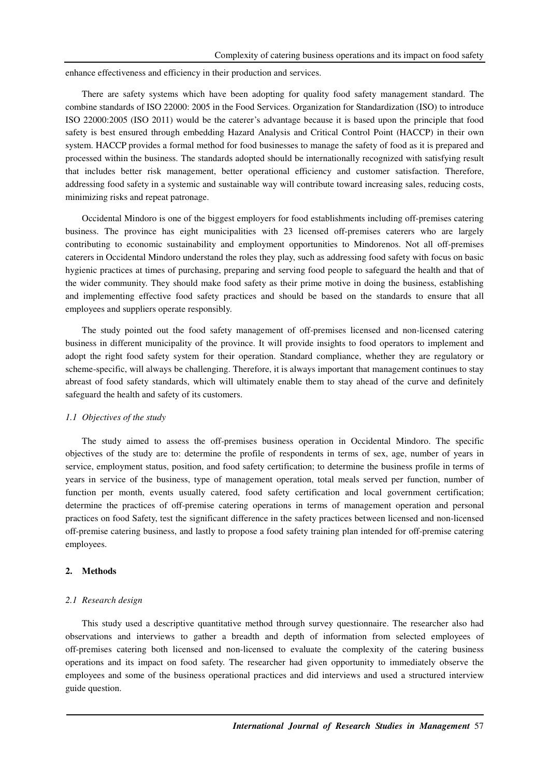enhance effectiveness and efficiency in their production and services.

There are safety systems which have been adopting for quality food safety management standard. The combine standards of ISO 22000: 2005 in the Food Services. Organization for Standardization (ISO) to introduce ISO 22000:2005 (ISO 2011) would be the caterer's advantage because it is based upon the principle that food safety is best ensured through embedding Hazard Analysis and Critical Control Point (HACCP) in their own system. HACCP provides a formal method for food businesses to manage the safety of food as it is prepared and processed within the business. The standards adopted should be internationally recognized with satisfying result that includes better risk management, better operational efficiency and customer satisfaction. Therefore, addressing food safety in a systemic and sustainable way will contribute toward increasing sales, reducing costs, minimizing risks and repeat patronage.

Occidental Mindoro is one of the biggest employers for food establishments including off-premises catering business. The province has eight municipalities with 23 licensed off-premises caterers who are largely contributing to economic sustainability and employment opportunities to Mindorenos. Not all off-premises caterers in Occidental Mindoro understand the roles they play, such as addressing food safety with focus on basic hygienic practices at times of purchasing, preparing and serving food people to safeguard the health and that of the wider community. They should make food safety as their prime motive in doing the business, establishing and implementing effective food safety practices and should be based on the standards to ensure that all employees and suppliers operate responsibly.

The study pointed out the food safety management of off-premises licensed and non-licensed catering business in different municipality of the province. It will provide insights to food operators to implement and adopt the right food safety system for their operation. Standard compliance, whether they are regulatory or scheme-specific, will always be challenging. Therefore, it is always important that management continues to stay abreast of food safety standards, which will ultimately enable them to stay ahead of the curve and definitely safeguard the health and safety of its customers.

#### *1.1 Objectives of the study*

The study aimed to assess the off-premises business operation in Occidental Mindoro. The specific objectives of the study are to: determine the profile of respondents in terms of sex, age, number of years in service, employment status, position, and food safety certification; to determine the business profile in terms of years in service of the business, type of management operation, total meals served per function, number of function per month, events usually catered, food safety certification and local government certification; determine the practices of off-premise catering operations in terms of management operation and personal practices on food Safety, test the significant difference in the safety practices between licensed and non-licensed off-premise catering business, and lastly to propose a food safety training plan intended for off-premise catering employees.

#### **2. Methods**

#### *2.1 Research design*

This study used a descriptive quantitative method through survey questionnaire. The researcher also had observations and interviews to gather a breadth and depth of information from selected employees of off-premises catering both licensed and non-licensed to evaluate the complexity of the catering business operations and its impact on food safety. The researcher had given opportunity to immediately observe the employees and some of the business operational practices and did interviews and used a structured interview guide question.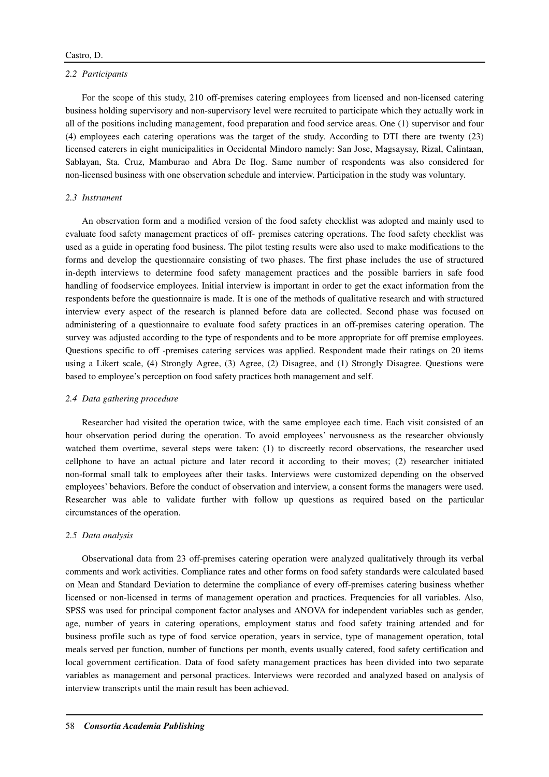#### *2.2 Participants*

For the scope of this study, 210 off-premises catering employees from licensed and non-licensed catering business holding supervisory and non-supervisory level were recruited to participate which they actually work in all of the positions including management, food preparation and food service areas. One (1) supervisor and four (4) employees each catering operations was the target of the study. According to DTI there are twenty (23) licensed caterers in eight municipalities in Occidental Mindoro namely: San Jose, Magsaysay, Rizal, Calintaan, Sablayan, Sta. Cruz, Mamburao and Abra De Ilog. Same number of respondents was also considered for non-licensed business with one observation schedule and interview. Participation in the study was voluntary.

# *2.3 Instrument*

An observation form and a modified version of the food safety checklist was adopted and mainly used to evaluate food safety management practices of off- premises catering operations. The food safety checklist was used as a guide in operating food business. The pilot testing results were also used to make modifications to the forms and develop the questionnaire consisting of two phases. The first phase includes the use of structured in-depth interviews to determine food safety management practices and the possible barriers in safe food handling of foodservice employees. Initial interview is important in order to get the exact information from the respondents before the questionnaire is made. It is one of the methods of qualitative research and with structured interview every aspect of the research is planned before data are collected. Second phase was focused on administering of a questionnaire to evaluate food safety practices in an off-premises catering operation. The survey was adjusted according to the type of respondents and to be more appropriate for off premise employees. Questions specific to off -premises catering services was applied. Respondent made their ratings on 20 items using a Likert scale, **(**4) Strongly Agree, (3) Agree, (2) Disagree, and (1) Strongly Disagree. Questions were based to employee's perception on food safety practices both management and self.

#### *2.4 Data gathering procedure*

Researcher had visited the operation twice, with the same employee each time. Each visit consisted of an hour observation period during the operation. To avoid employees' nervousness as the researcher obviously watched them overtime, several steps were taken: (1) to discreetly record observations, the researcher used cellphone to have an actual picture and later record it according to their moves; (2) researcher initiated non-formal small talk to employees after their tasks. Interviews were customized depending on the observed employees' behaviors. Before the conduct of observation and interview, a consent forms the managers were used. Researcher was able to validate further with follow up questions as required based on the particular circumstances of the operation.

#### *2.5 Data analysis*

Observational data from 23 off-premises catering operation were analyzed qualitatively through its verbal comments and work activities. Compliance rates and other forms on food safety standards were calculated based on Mean and Standard Deviation to determine the compliance of every off-premises catering business whether licensed or non-licensed in terms of management operation and practices. Frequencies for all variables. Also, SPSS was used for principal component factor analyses and ANOVA for independent variables such as gender, age, number of years in catering operations, employment status and food safety training attended and for business profile such as type of food service operation, years in service, type of management operation, total meals served per function, number of functions per month, events usually catered, food safety certification and local government certification. Data of food safety management practices has been divided into two separate variables as management and personal practices. Interviews were recorded and analyzed based on analysis of interview transcripts until the main result has been achieved.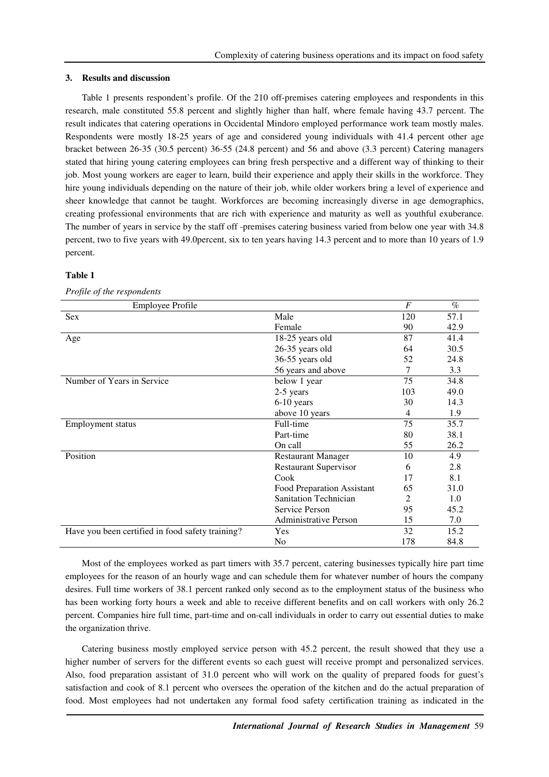#### **3. Results and discussion**

Table 1 presents respondent's profile. Of the 210 off-premises catering employees and respondents in this research, male constituted 55.8 percent and slightly higher than half, where female having 43.7 percent. The result indicates that catering operations in Occidental Mindoro employed performance work team mostly males. Respondents were mostly 18-25 years of age and considered young individuals with 41.4 percent other age bracket between 26-35 (30.5 percent) 36-55 (24.8 percent) and 56 and above (3.3 percent) Catering managers stated that hiring young catering employees can bring fresh perspective and a different way of thinking to their job. Most young workers are eager to learn, build their experience and apply their skills in the workforce. They hire young individuals depending on the nature of their job, while older workers bring a level of experience and sheer knowledge that cannot be taught. Workforces are becoming increasingly diverse in age demographics, creating professional environments that are rich with experience and maturity as well as youthful exuberance. The number of years in service by the staff off -premises catering business varied from below one year with 34.8 percent, two to five years with 49.0percent, six to ten years having 14.3 percent and to more than 10 years of 1.9 percent.

## **Table 1**

## *Profile of the respondents*

| <b>Employee Profile</b>                          |                              | $\overline{F}$ | $\%$ |
|--------------------------------------------------|------------------------------|----------------|------|
| Sex                                              | Male                         | 120            | 57.1 |
|                                                  | Female                       | 90             | 42.9 |
| Age                                              | 18-25 years old              | 87             | 41.4 |
|                                                  | 26-35 years old              | 64             | 30.5 |
|                                                  | 36-55 years old              | 52             | 24.8 |
|                                                  | 56 years and above           | 7              | 3.3  |
| Number of Years in Service                       | below 1 year                 | 75             | 34.8 |
|                                                  | 2-5 years                    | 103            | 49.0 |
|                                                  | 6-10 years                   | 30             | 14.3 |
|                                                  | above 10 years               | 4              | 1.9  |
| <b>Employment status</b>                         | Full-time                    | 75             | 35.7 |
|                                                  | Part-time                    | 80             | 38.1 |
|                                                  | On call                      | 55             | 26.2 |
| Position                                         | <b>Restaurant Manager</b>    | 10             | 4.9  |
|                                                  | <b>Restaurant Supervisor</b> | 6              | 2.8  |
|                                                  | Cook                         | 17             | 8.1  |
|                                                  | Food Preparation Assistant   | 65             | 31.0 |
|                                                  | <b>Sanitation Technician</b> | 2              | 1.0  |
|                                                  | Service Person               | 95             | 45.2 |
|                                                  | <b>Administrative Person</b> | 15             | 7.0  |
| Have you been certified in food safety training? | Yes                          | 32             | 15.2 |
|                                                  | No                           | 178            | 84.8 |

Most of the employees worked as part timers with 35.7 percent, catering businesses typically hire part time employees for the reason of an hourly wage and can schedule them for whatever number of hours the company desires. Full time workers of 38.1 percent ranked only second as to the employment status of the business who has been working forty hours a week and able to receive different benefits and on call workers with only 26.2 percent. Companies hire full time, part-time and on-call individuals in order to carry out essential duties to make the organization thrive.

Catering business mostly employed service person with 45.2 percent, the result showed that they use a higher number of servers for the different events so each guest will receive prompt and personalized services. Also, food preparation assistant of 31.0 percent who will work on the quality of prepared foods for guest's satisfaction and cook of 8.1 percent who oversees the operation of the kitchen and do the actual preparation of food. Most employees had not undertaken any formal food safety certification training as indicated in the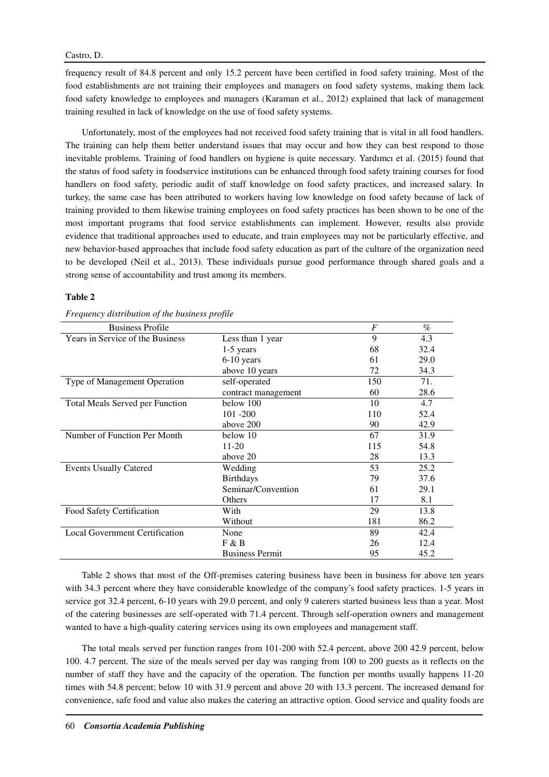## Castro, D.

frequency result of 84.8 percent and only 15.2 percent have been certified in food safety training. Most of the food establishments are not training their employees and managers on food safety systems, making them lack food safety knowledge to employees and managers (Karaman et al., 2012) explained that lack of management training resulted in lack of knowledge on the use of food safety systems.

Unfortunately, most of the employees had not received food safety training that is vital in all food handlers. The training can help them better understand issues that may occur and how they can best respond to those inevitable problems. Training of food handlers on hygiene is quite necessary. Yardımcı et al. (2015) found that the status of food safety in foodservice institutions can be enhanced through food safety training courses for food handlers on food safety, periodic audit of staff knowledge on food safety practices, and increased salary. In turkey, the same case has been attributed to workers having low knowledge on food safety because of lack of training provided to them likewise training employees on food safety practices has been shown to be one of the most important programs that food service establishments can implement. However, results also provide evidence that traditional approaches used to educate, and train employees may not be particularly effective, and new behavior-based approaches that include food safety education as part of the culture of the organization need to be developed (Neil et al., 2013). These individuals pursue good performance through shared goals and a strong sense of accountability and trust among its members.

## **Table 2**

| requency and no ancon of the chomess profile |                        |                  |      |  |  |
|----------------------------------------------|------------------------|------------------|------|--|--|
| <b>Business Profile</b>                      |                        | $\boldsymbol{F}$ | $\%$ |  |  |
| Years in Service of the Business             | Less than 1 year       | 9                | 4.3  |  |  |
|                                              | $1-5$ years            | 68               | 32.4 |  |  |
|                                              | $6-10$ years           | 61               | 29.0 |  |  |
|                                              | above 10 years         | 72               | 34.3 |  |  |
| Type of Management Operation                 | self-operated          | 150              | 71.  |  |  |
|                                              | contract management    | 60               | 28.6 |  |  |
| <b>Total Meals Served per Function</b>       | below 100              | 10               | 4.7  |  |  |
|                                              | $101 - 200$            | 110              | 52.4 |  |  |
|                                              | above 200              | 90               | 42.9 |  |  |
| Number of Function Per Month                 | below 10               | 67               | 31.9 |  |  |
|                                              | $11 - 20$              | 115              | 54.8 |  |  |
|                                              | above 20               | 28               | 13.3 |  |  |
| <b>Events Usually Catered</b>                | Wedding                | 53               | 25.2 |  |  |
|                                              | <b>Birthdays</b>       | 79               | 37.6 |  |  |
|                                              | Seminar/Convention     | 61               | 29.1 |  |  |
|                                              | Others                 | 17               | 8.1  |  |  |
| Food Safety Certification                    | With                   | 29               | 13.8 |  |  |
|                                              | Without                | 181              | 86.2 |  |  |
| <b>Local Government Certification</b>        | None                   | 89               | 42.4 |  |  |
|                                              | F & B                  | 26               | 12.4 |  |  |
|                                              | <b>Business Permit</b> | 95               | 45.2 |  |  |

*Frequency distribution of the business profile* 

Table 2 shows that most of the Off-premises catering business have been in business for above ten years with 34.3 percent where they have considerable knowledge of the company's food safety practices. 1-5 years in service got 32.4 percent, 6-10 years with 29.0 percent, and only 9 caterers started business less than a year. Most of the catering businesses are self-operated with 71.4 percent. Through self-operation owners and management wanted to have a high-quality catering services using its own employees and management staff.

The total meals served per function ranges from 101-200 with 52.4 percent, above 200 42.9 percent, below 100. 4.7 percent. The size of the meals served per day was ranging from 100 to 200 guests as it reflects on the number of staff they have and the capacity of the operation. The function per months usually happens 11-20 times with 54.8 percent; below 10 with 31.9 percent and above 20 with 13.3 percent. The increased demand for convenience, safe food and value also makes the catering an attractive option. Good service and quality foods are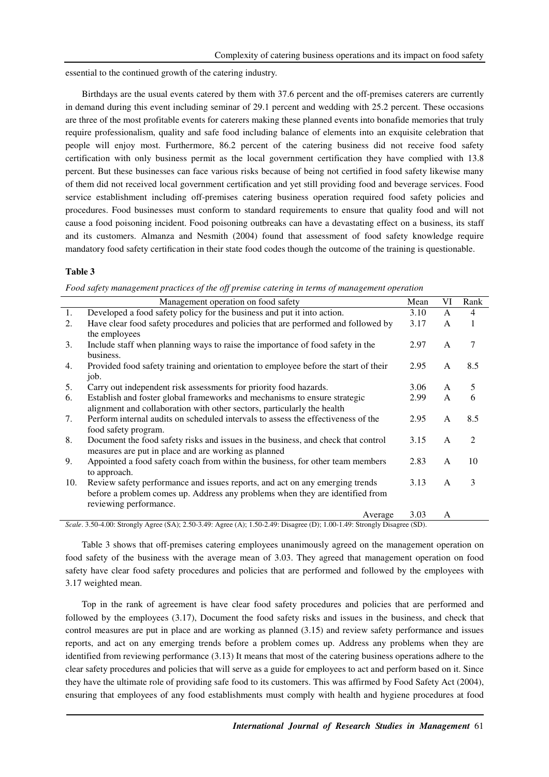essential to the continued growth of the catering industry.

Birthdays are the usual events catered by them with 37.6 percent and the off-premises caterers are currently in demand during this event including seminar of 29.1 percent and wedding with 25.2 percent. These occasions are three of the most profitable events for caterers making these planned events into bonafide memories that truly require professionalism, quality and safe food including balance of elements into an exquisite celebration that people will enjoy most. Furthermore, 86.2 percent of the catering business did not receive food safety certification with only business permit as the local government certification they have complied with 13.8 percent. But these businesses can face various risks because of being not certified in food safety likewise many of them did not received local government certification and yet still providing food and beverage services. Food service establishment including off-premises catering business operation required food safety policies and procedures. Food businesses must conform to standard requirements to ensure that quality food and will not cause a food poisoning incident. Food poisoning outbreaks can have a devastating effect on a business, its staff and its customers. Almanza and Nesmith (2004) found that assessment of food safety knowledge require mandatory food safety certification in their state food codes though the outcome of the training is questionable.

## **Table 3**

*Food safety management practices of the off premise catering in terms of management operation* 

*Scale*. 3.50-4.00: Strongly Agree (SA); 2.50-3.49: Agree (A); 1.50-2.49: Disagree (D); 1.00-1.49: Strongly Disagree (SD).

Table 3 shows that off-premises catering employees unanimously agreed on the management operation on food safety of the business with the average mean of 3.03. They agreed that management operation on food safety have clear food safety procedures and policies that are performed and followed by the employees with 3.17 weighted mean.

Top in the rank of agreement is have clear food safety procedures and policies that are performed and followed by the employees (3.17), Document the food safety risks and issues in the business, and check that control measures are put in place and are working as planned (3.15) and review safety performance and issues reports, and act on any emerging trends before a problem comes up. Address any problems when they are identified from reviewing performance (3.13) It means that most of the catering business operations adhere to the clear safety procedures and policies that will serve as a guide for employees to act and perform based on it. Since they have the ultimate role of providing safe food to its customers. This was affirmed by Food Safety Act (2004), ensuring that employees of any food establishments must comply with health and hygiene procedures at food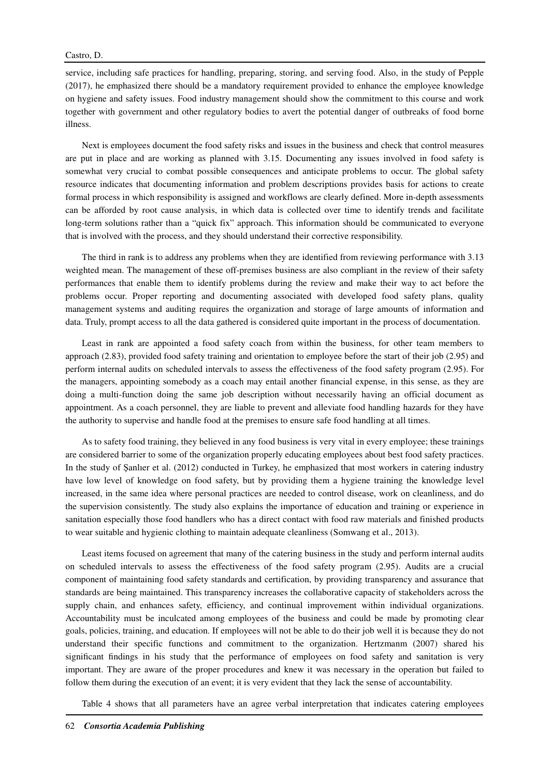service, including safe practices for handling, preparing, storing, and serving food. Also, in the study of Pepple (2017), he emphasized there should be a mandatory requirement provided to enhance the employee knowledge on hygiene and safety issues. Food industry management should show the commitment to this course and work together with government and other regulatory bodies to avert the potential danger of outbreaks of food borne illness.

Next is employees document the food safety risks and issues in the business and check that control measures are put in place and are working as planned with 3.15. Documenting any issues involved in food safety is somewhat very crucial to combat possible consequences and anticipate problems to occur. The global safety resource indicates that documenting information and problem descriptions provides basis for actions to create formal process in which responsibility is assigned and workflows are clearly defined. More in-depth assessments can be afforded by root cause analysis, in which data is collected over time to identify trends and facilitate long-term solutions rather than a "quick fix" approach. This information should be communicated to everyone that is involved with the process, and they should understand their corrective responsibility.

The third in rank is to address any problems when they are identified from reviewing performance with 3.13 weighted mean. The management of these off-premises business are also compliant in the review of their safety performances that enable them to identify problems during the review and make their way to act before the problems occur. Proper reporting and documenting associated with developed food safety plans, quality management systems and auditing requires the organization and storage of large amounts of information and data. Truly, prompt access to all the data gathered is considered quite important in the process of documentation.

Least in rank are appointed a food safety coach from within the business, for other team members to approach (2.83), provided food safety training and orientation to employee before the start of their job (2.95) and perform internal audits on scheduled intervals to assess the effectiveness of the food safety program (2.95). For the managers, appointing somebody as a coach may entail another financial expense, in this sense, as they are doing a multi-function doing the same job description without necessarily having an official document as appointment. As a coach personnel, they are liable to prevent and alleviate food handling hazards for they have the authority to supervise and handle food at the premises to ensure safe food handling at all times.

As to safety food training, they believed in any food business is very vital in every employee; these trainings are considered barrier to some of the organization properly educating employees about best food safety practices. In the study of Şanlıer et al. (2012) conducted in Turkey, he emphasized that most workers in catering industry have low level of knowledge on food safety, but by providing them a hygiene training the knowledge level increased, in the same idea where personal practices are needed to control disease, work on cleanliness, and do the supervision consistently. The study also explains the importance of education and training or experience in sanitation especially those food handlers who has a direct contact with food raw materials and finished products to wear suitable and hygienic clothing to maintain adequate cleanliness (Somwang et al., 2013).

Least items focused on agreement that many of the catering business in the study and perform internal audits on scheduled intervals to assess the effectiveness of the food safety program (2.95). Audits are a crucial component of maintaining food safety standards and certification, by providing transparency and assurance that standards are being maintained. This transparency increases the collaborative capacity of stakeholders across the supply chain, and enhances safety, efficiency, and continual improvement within individual organizations. Accountability must be inculcated among employees of the business and could be made by promoting clear goals, policies, training, and education. If employees will not be able to do their job well it is because they do not understand their specific functions and commitment to the organization. Hertzmanm (2007) shared his significant findings in his study that the performance of employees on food safety and sanitation is very important. They are aware of the proper procedures and knew it was necessary in the operation but failed to follow them during the execution of an event; it is very evident that they lack the sense of accountability.

Table 4 shows that all parameters have an agree verbal interpretation that indicates catering employees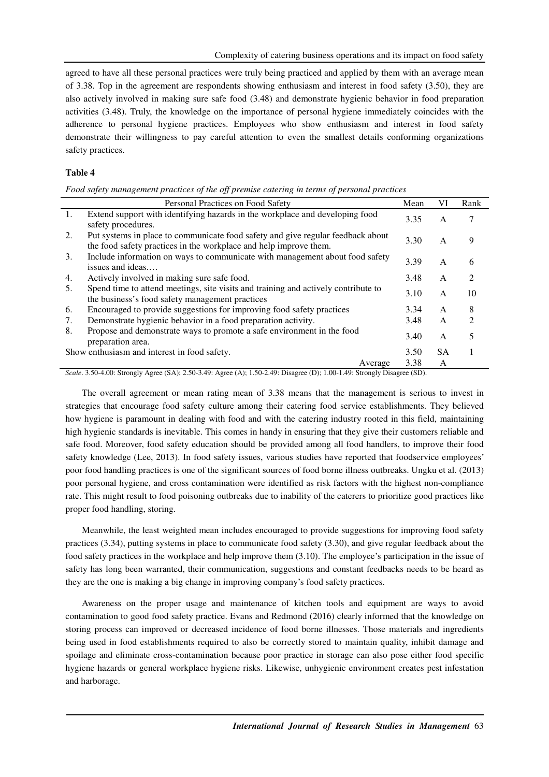agreed to have all these personal practices were truly being practiced and applied by them with an average mean of 3.38. Top in the agreement are respondents showing enthusiasm and interest in food safety (3.50), they are also actively involved in making sure safe food (3.48) and demonstrate hygienic behavior in food preparation activities (3.48). Truly, the knowledge on the importance of personal hygiene immediately coincides with the adherence to personal hygiene practices. Employees who show enthusiasm and interest in food safety demonstrate their willingness to pay careful attention to even the smallest details conforming organizations safety practices.

# **Table 4**

| Food safety management practices of the off premise catering in terms of personal practices |  |  |  |
|---------------------------------------------------------------------------------------------|--|--|--|
|                                                                                             |  |  |  |
|                                                                                             |  |  |  |
|                                                                                             |  |  |  |

|    | Personal Practices on Food Safety                                                                                                                    | Mean | VI        | Rank           |
|----|------------------------------------------------------------------------------------------------------------------------------------------------------|------|-----------|----------------|
| 1. | Extend support with identifying hazards in the workplace and developing food<br>safety procedures.                                                   | 3.35 | A         | 7              |
| 2. | Put systems in place to communicate food safety and give regular feedback about<br>the food safety practices in the workplace and help improve them. | 3.30 | A         | 9              |
| 3. | Include information on ways to communicate with management about food safety<br>issues and ideas                                                     | 3.39 | A         | 6              |
| 4. | Actively involved in making sure safe food.                                                                                                          | 3.48 | A         | $\mathfrak{D}$ |
| 5. | Spend time to attend meetings, site visits and training and actively contribute to<br>the business's food safety management practices                | 3.10 | A         | 10             |
| 6. | Encouraged to provide suggestions for improving food safety practices                                                                                | 3.34 | A         | 8              |
| 7. | Demonstrate hygienic behavior in a food preparation activity.                                                                                        | 3.48 | A         | $\mathfrak{D}$ |
| 8. | Propose and demonstrate ways to promote a safe environment in the food<br>preparation area.                                                          | 3.40 | A         |                |
|    | Show enthusiasm and interest in food safety.                                                                                                         | 3.50 | <b>SA</b> |                |
|    | Average                                                                                                                                              | 3.38 | A         |                |

*Scale*. 3.50-4.00: Strongly Agree (SA); 2.50-3.49: Agree (A); 1.50-2.49: Disagree (D); 1.00-1.49: Strongly Disagree (SD).

The overall agreement or mean rating mean of 3.38 means that the management is serious to invest in strategies that encourage food safety culture among their catering food service establishments. They believed how hygiene is paramount in dealing with food and with the catering industry rooted in this field, maintaining high hygienic standards is inevitable. This comes in handy in ensuring that they give their customers reliable and safe food. Moreover, food safety education should be provided among all food handlers, to improve their food safety knowledge (Lee, 2013). In food safety issues, various studies have reported that foodservice employees' poor food handling practices is one of the significant sources of food borne illness outbreaks. Ungku et al. (2013) poor personal hygiene, and cross contamination were identified as risk factors with the highest non-compliance rate. This might result to food poisoning outbreaks due to inability of the caterers to prioritize good practices like proper food handling, storing.

Meanwhile, the least weighted mean includes encouraged to provide suggestions for improving food safety practices (3.34), putting systems in place to communicate food safety (3.30), and give regular feedback about the food safety practices in the workplace and help improve them (3.10). The employee's participation in the issue of safety has long been warranted, their communication, suggestions and constant feedbacks needs to be heard as they are the one is making a big change in improving company's food safety practices.

Awareness on the proper usage and maintenance of kitchen tools and equipment are ways to avoid contamination to good food safety practice. Evans and Redmond (2016) clearly informed that the knowledge on storing process can improved or decreased incidence of food borne illnesses. Those materials and ingredients being used in food establishments required to also be correctly stored to maintain quality, inhibit damage and spoilage and eliminate cross-contamination because poor practice in storage can also pose either food specific hygiene hazards or general workplace hygiene risks. Likewise, unhygienic environment creates pest infestation and harborage.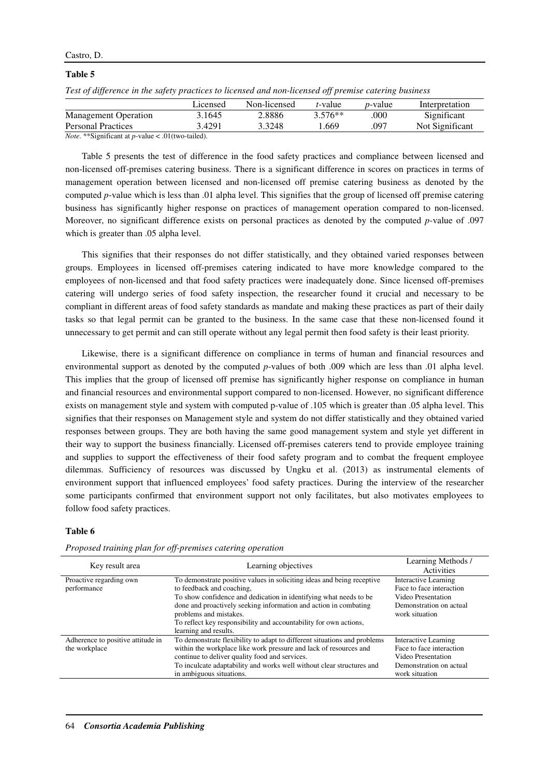# Castro, D.

#### **Table 5**

|  |  |  | Test of difference in the safety practices to licensed and non-licensed off premise catering business |
|--|--|--|-------------------------------------------------------------------------------------------------------|
|  |  |  |                                                                                                       |

|                             | Licensed - | Non-licensed | <i>t</i> -value | <i>p</i> -value | Interpretation  |
|-----------------------------|------------|--------------|-----------------|-----------------|-----------------|
| <b>Management Operation</b> | 3.1645     | 2.8886       | $3.576**$       | .000            | Significant     |
| <b>Personal Practices</b>   | 3.4291     | 3.3248       | 1.669           | .097            | Not Significant |
|                             |            |              |                 |                 |                 |

*Note*. \*\*Significant at *p*-value < .01(two-tailed).

Table 5 presents the test of difference in the food safety practices and compliance between licensed and non-licensed off-premises catering business. There is a significant difference in scores on practices in terms of management operation between licensed and non-licensed off premise catering business as denoted by the computed *p*-value which is less than .01 alpha level. This signifies that the group of licensed off premise catering business has significantly higher response on practices of management operation compared to non-licensed. Moreover, no significant difference exists on personal practices as denoted by the computed *p-*value of .097 which is greater than .05 alpha level.

This signifies that their responses do not differ statistically, and they obtained varied responses between groups. Employees in licensed off-premises catering indicated to have more knowledge compared to the employees of non-licensed and that food safety practices were inadequately done. Since licensed off-premises catering will undergo series of food safety inspection, the researcher found it crucial and necessary to be compliant in different areas of food safety standards as mandate and making these practices as part of their daily tasks so that legal permit can be granted to the business. In the same case that these non-licensed found it unnecessary to get permit and can still operate without any legal permit then food safety is their least priority.

Likewise, there is a significant difference on compliance in terms of human and financial resources and environmental support as denoted by the computed *p*-values of both .009 which are less than .01 alpha level. This implies that the group of licensed off premise has significantly higher response on compliance in human and financial resources and environmental support compared to non-licensed. However, no significant difference exists on management style and system with computed p-value of .105 which is greater than .05 alpha level. This signifies that their responses on Management style and system do not differ statistically and they obtained varied responses between groups. They are both having the same good management system and style yet different in their way to support the business financially. Licensed off-premises caterers tend to provide employee training and supplies to support the effectiveness of their food safety program and to combat the frequent employee dilemmas. Sufficiency of resources was discussed by Ungku et al. (2013) as instrumental elements of environment support that influenced employees' food safety practices. During the interview of the researcher some participants confirmed that environment support not only facilitates, but also motivates employees to follow food safety practices.

## **Table 6**

| Key result area                                    | Learning objectives                                                                                                                                                                                                                                                                                                                                                  | Learning Methods /<br><b>Activities</b>                                                                                    |
|----------------------------------------------------|----------------------------------------------------------------------------------------------------------------------------------------------------------------------------------------------------------------------------------------------------------------------------------------------------------------------------------------------------------------------|----------------------------------------------------------------------------------------------------------------------------|
| Proactive regarding own<br>performance             | To demonstrate positive values in soliciting ideas and being receptive<br>to feedback and coaching,<br>To show confidence and dedication in identifying what needs to be<br>done and proactively seeking information and action in combating<br>problems and mistakes.<br>To reflect key responsibility and accountability for own actions,<br>learning and results. | Interactive Learning<br>Face to face interaction<br>Video Presentation<br>Demonstration on actual<br>work situation        |
| Adherence to positive attitude in<br>the workplace | To demonstrate flexibility to adapt to different situations and problems<br>within the workplace like work pressure and lack of resources and<br>continue to deliver quality food and services.<br>To inculcate adaptability and works well without clear structures and<br>in ambiguous situations.                                                                 | <b>Interactive Learning</b><br>Face to face interaction<br>Video Presentation<br>Demonstration on actual<br>work situation |

*Proposed training plan for off-premises catering operation*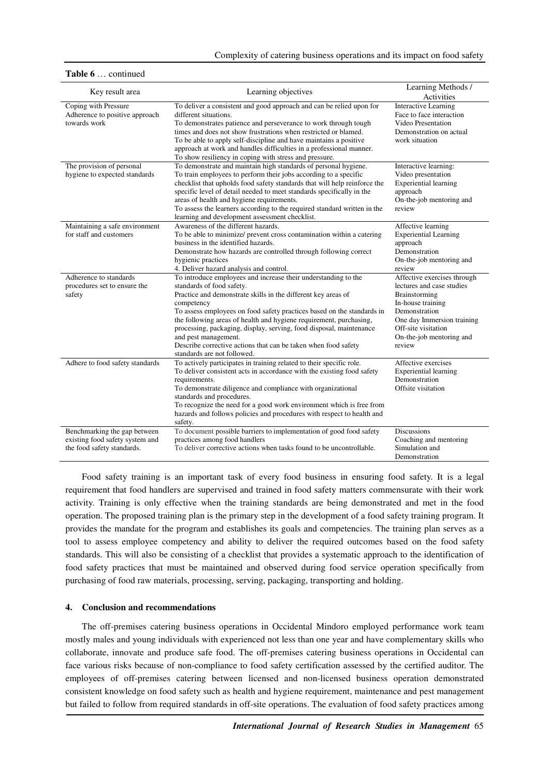| Key result area                                                                               | Learning objectives                                                                                                                                                                                                                                                                                                                                                                                                                                                                                                        | Learning Methods /<br>Activities                                                                                                                                                                           |
|-----------------------------------------------------------------------------------------------|----------------------------------------------------------------------------------------------------------------------------------------------------------------------------------------------------------------------------------------------------------------------------------------------------------------------------------------------------------------------------------------------------------------------------------------------------------------------------------------------------------------------------|------------------------------------------------------------------------------------------------------------------------------------------------------------------------------------------------------------|
| Coping with Pressure<br>Adherence to positive approach<br>towards work                        | To deliver a consistent and good approach and can be relied upon for<br>different situations.<br>To demonstrates patience and perseverance to work through tough<br>times and does not show frustrations when restricted or blamed.<br>To be able to apply self-discipline and have maintains a positive<br>approach at work and handles difficulties in a professional manner.<br>To show resiliency in coping with stress and pressure.                                                                                  | <b>Interactive Learning</b><br>Face to face interaction<br>Video Presentation<br>Demonstration on actual<br>work situation                                                                                 |
| The provision of personal<br>hygiene to expected standards                                    | To demonstrate and maintain high standards of personal hygiene.<br>To train employees to perform their jobs according to a specific<br>checklist that upholds food safety standards that will help reinforce the<br>specific level of detail needed to meet standards specifically in the<br>areas of health and hygiene requirements.<br>To assess the learners according to the required standard written in the<br>learning and development assessment checklist.                                                       | Interactive learning:<br>Video presentation<br><b>Experiential learning</b><br>approach<br>On-the-job mentoring and<br>review                                                                              |
| Maintaining a safe environment<br>for staff and customers                                     | Awareness of the different hazards.<br>To be able to minimize/ prevent cross contamination within a catering<br>business in the identified hazards.<br>Demonstrate how hazards are controlled through following correct<br>hygienic practices<br>4. Deliver hazard analysis and control.                                                                                                                                                                                                                                   | Affective learning<br><b>Experiential Learning</b><br>approach<br>Demonstration<br>On-the-job mentoring and<br>review                                                                                      |
| Adherence to standards<br>procedures set to ensure the<br>safety                              | To introduce employees and increase their understanding to the<br>standards of food safety.<br>Practice and demonstrate skills in the different key areas of<br>competency<br>To assess employees on food safety practices based on the standards in<br>the following areas of health and hygiene requirement, purchasing,<br>processing, packaging, display, serving, food disposal, maintenance<br>and pest management.<br>Describe corrective actions that can be taken when food safety<br>standards are not followed. | Affective exercises through<br>lectures and case studies<br>Brainstorming<br>In-house training<br>Demonstration<br>One day Immersion training<br>Off-site visitation<br>On-the-job mentoring and<br>review |
| Adhere to food safety standards                                                               | To actively participates in training related to their specific role.<br>To deliver consistent acts in accordance with the existing food safety<br>requirements.<br>To demonstrate diligence and compliance with organizational<br>standards and procedures.<br>To recognize the need for a good work environment which is free from<br>hazards and follows policies and procedures with respect to health and<br>safety.                                                                                                   | Affective exercises<br><b>Experiential learning</b><br>Demonstration<br>Offsite visitation                                                                                                                 |
| Benchmarking the gap between<br>existing food safety system and<br>the food safety standards. | To document possible barriers to implementation of good food safety<br>practices among food handlers<br>To deliver corrective actions when tasks found to be uncontrollable.                                                                                                                                                                                                                                                                                                                                               | <b>Discussions</b><br>Coaching and mentoring<br>Simulation and<br>Demonstration                                                                                                                            |

#### **Table 6** … continued

Food safety training is an important task of every food business in ensuring food safety. It is a legal requirement that food handlers are supervised and trained in food safety matters commensurate with their work activity. Training is only effective when the training standards are being demonstrated and met in the food operation. The proposed training plan is the primary step in the development of a food safety training program. It provides the mandate for the program and establishes its goals and competencies. The training plan serves as a tool to assess employee competency and ability to deliver the required outcomes based on the food safety standards. This will also be consisting of a checklist that provides a systematic approach to the identification of food safety practices that must be maintained and observed during food service operation specifically from purchasing of food raw materials, processing, serving, packaging, transporting and holding.

# **4. Conclusion and recommendations**

The off-premises catering business operations in Occidental Mindoro employed performance work team mostly males and young individuals with experienced not less than one year and have complementary skills who collaborate, innovate and produce safe food. The off-premises catering business operations in Occidental can face various risks because of non-compliance to food safety certification assessed by the certified auditor. The employees of off-premises catering between licensed and non-licensed business operation demonstrated consistent knowledge on food safety such as health and hygiene requirement, maintenance and pest management but failed to follow from required standards in off-site operations. The evaluation of food safety practices among